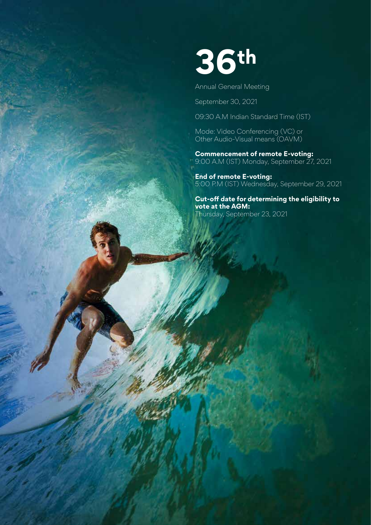

Annual General Meeting

September 30, 2021

09:30 A.M Indian Standard Time (IST)

Mode: Video Conferencing (VC) or Other Audio-Visual means (OAVM)

**Commencement of remote E-voting:** 9:00 A.M (IST) Monday, September 27, 2021

**End of remote E-voting:**  5:00 P.M (IST) Wednesday, September 29, 2021

**Cut-off date for determining the eligibility to vote at the AGM:**  Thursday, September 23, 2021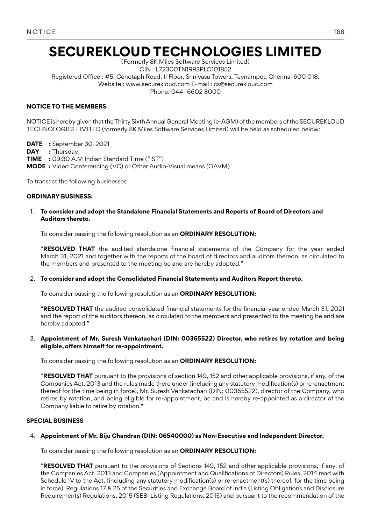# **SECUREKLOUD TECHNOLOGIES LIMITED**

(Formerly 8K Miles Software Services Limited) CIN : L72300TN1993PLC101852 Registered Office : #5, Cenotaph Road, II Floor, Srinivasa Towers, Teynampet, Chennai 600 018. Website : www.securekloud.com E-mail : cs@securekloud.com Phone: 044- 6602 8000

# **NOTICE TO THE MEMBERS**

NOTICE is hereby given that the Thirty Sixth Annual General Meeting (e-AGM) of the members of the SECUREKLOUD TECHNOLOGIES LIMITED (formerly 8K Miles Software Services Limited) will be held as scheduled below:

**DATE :** September 30, 2021

**DAY :** Thursday

**TIME :** 09:30 A.M Indian Standard Time ("IST")

**MODE :** Video Conferencing (VC) or Other Audio-Visual means (OAVM)

To transact the following businesses

## **ORDINARY BUSINESS:**

## 1. **To consider and adopt the Standalone Financial Statements and Reports of Board of Directors and Auditors thereto.**

To consider passing the following resolution as an **ORDINARY RESOLUTION:**

"**RESOLVED THAT** the audited standalone financial statements of the Company for the year ended March 31, 2021 and together with the reports of the board of directors and auditors thereon, as circulated to the members and presented to the meeting be and are hereby adopted."

# 2. **To consider and adopt the Consolidated Financial Statements and Auditors Report thereto.**

To consider passing the following resolution as an **ORDINARY RESOLUTION:**

"**RESOLVED THAT** the audited consolidated financial statements for the financial year ended March 31, 2021 and the report of the auditors thereon, as circulated to the members and presented to the meeting be and are hereby adopted."

## 3. **Appointment of Mr. Suresh Venkatachari (DIN: 00365522) Director, who retires by rotation and being eligible, offers himself for re-appointment.**

To consider passing the following resolution as an **ORDINARY RESOLUTION:**

"**RESOLVED THAT** pursuant to the provisions of section 149, 152 and other applicable provisions, if any, of the Companies Act, 2013 and the rules made there under (including any statutory modification(s) or re-enactment thereof for the time being in force), Mr. Suresh Venkatachari (DIN: 00365522), director of the Company, who retires by rotation, and being eligible for re-appointment, be and is hereby re-appointed as a director of the Company liable to retire by rotation."

# **SPECIAL BUSINESS**

# 4. **Appointment of Mr. Biju Chandran (DIN: 06540000) as Non-Executive and Independent Director.**

To consider passing the following resolution as an **ORDINARY RESOLUTION:**

"**RESOLVED THAT** pursuant to the provisions of Sections 149, 152 and other applicable provisions, if any, of the Companies Act, 2013 and Companies (Appointment and Qualifications of Directors) Rules, 2014 read with Schedule IV to the Act, (including any statutory modification(s) or re-enactment(s) thereof, for the time being in force), Regulations 17 & 25 of the Securities and Exchange Board of India (Listing Obligations and Disclosure Requirements) Regulations, 2015 (SEBI Listing Regulations, 2015) and pursuant to the recommendation of the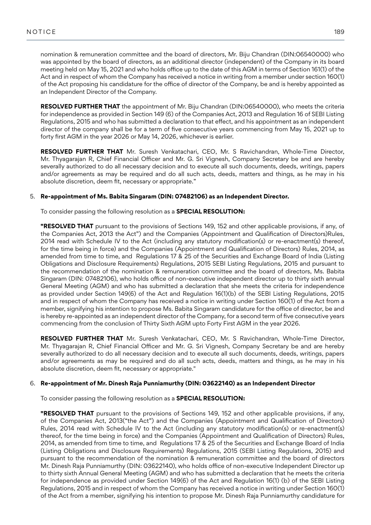nomination & remuneration committee and the board of directors, Mr. Biju Chandran (DIN:06540000) who was appointed by the board of directors, as an additional director (independent) of the Company in its board meeting held on May 15, 2021 and who holds office up to the date of this AGM in terms of Section 161(1) of the Act and in respect of whom the Company has received a notice in writing from a member under section 160(1) of the Act proposing his candidature for the office of director of the Company, be and is hereby appointed as an Independent Director of the Company.

**RESOLVED FURTHER THAT** the appointment of Mr. Biju Chandran (DIN:06540000), who meets the criteria for independence as provided in Section 149 (6) of the Companies Act, 2013 and Regulation 16 of SEBI Listing Regulations, 2015 and who has submitted a declaration to that effect, and his appointment as an independent director of the company shall be for a term of five consecutive years commencing from May 15, 2021 up to forty first AGM in the year 2026 or May 14, 2026, whichever is earlier.

**RESOLVED FURTHER THAT** Mr. Suresh Venkatachari, CEO, Mr. S Ravichandran, Whole-Time Director, Mr. Thyagarajan R, Chief Financial Officer and Mr. G. Sri Vignesh, Company Secretary be and are hereby severally authorized to do all necessary decision and to execute all such documents, deeds, writings, papers and/or agreements as may be required and do all such acts, deeds, matters and things, as he may in his absolute discretion, deem fit, necessary or appropriate."

## 5. **Re-appointment of Ms. Babita Singaram (DIN: 07482106) as an Independent Director.**

To consider passing the following resolution as a **SPECIAL RESOLUTION:**

**"RESOLVED THAT** pursuant to the provisions of Sections 149, 152 and other applicable provisions, if any, of the Companies Act, 2013 the Act") and the Companies (Appointment and Qualification of Directors)Rules, 2014 read with Schedule IV to the Act (including any statutory modification(s) or re-enactment(s) thereof, for the time being in force) and the Companies (Appointment and Qualification of Directors) Rules, 2014, as amended from time to time, and Regulations 17 & 25 of the Securities and Exchange Board of India (Listing Obligations and Disclosure Requirements) Regulations, 2015 SEBI Listing Regulations, 2015 and pursuant to the recommendation of the nomination & remuneration committee and the board of directors, Ms. Babita Singaram (DIN: 07482106), who holds office of non-executive independent director up to thirty sixth annual General Meeting (AGM) and who has submitted a declaration that she meets the criteria for independence as provided under Section 149(6) of the Act and Regulation 16(1)(b) of the SEBI Listing Regulations, 2015 and in respect of whom the Company has received a notice in writing under Section 160(1) of the Act from a member, signifying his intention to propose Ms. Babita Singaram candidature for the office of director, be and is hereby re-appointed as an independent director of the Company, for a second term of five consecutive years commencing from the conclusion of Thirty Sixth AGM upto Forty First AGM in the year 2026.

**RESOLVED FURTHER THAT** Mr. Suresh Venkatachari, CEO, Mr. S Ravichandran, Whole-Time Director, Mr. Thyagarajan R, Chief Financial Officer and Mr. G. Sri Vignesh, Company Secretary be and are hereby severally authorized to do all necessary decision and to execute all such documents, deeds, writings, papers and/or agreements as may be required and do all such acts, deeds, matters and things, as he may in his absolute discretion, deem fit, necessary or appropriate."

#### 6. **Re-appointment of Mr. Dinesh Raja Punniamurthy (DIN: 03622140) as an Independent Director**

To consider passing the following resolution as a **SPECIAL RESOLUTION:**

**"RESOLVED THAT** pursuant to the provisions of Sections 149, 152 and other applicable provisions, if any, of the Companies Act, 2013("the Act") and the Companies (Appointment and Qualification of Directors) Rules, 2014 read with Schedule IV to the Act (including any statutory modification(s) or re-enactment(s) thereof, for the time being in force) and the Companies (Appointment and Qualification of Directors) Rules, 2014, as amended from time to time, and Regulations 17 & 25 of the Securities and Exchange Board of India (Listing Obligations and Disclosure Requirements) Regulations, 2015 (SEBI Listing Regulations, 2015) and pursuant to the recommendation of the nomination & remuneration committee and the board of directors Mr. Dinesh Raja Punniamurthy (DIN: 03622140), who holds office of non-executive Independent Director up to thirty sixth Annual General Meeting (AGM) and who has submitted a declaration that he meets the criteria for independence as provided under Section 149(6) of the Act and Regulation 16(1) (b) of the SEBI Listing Regulations, 2015 and in respect of whom the Company has received a notice in writing under Section 160(1) of the Act from a member, signifying his intention to propose Mr. Dinesh Raja Punniamurthy candidature for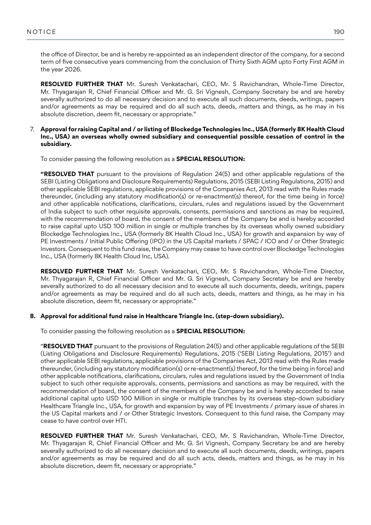the office of Director, be and is hereby re-appointed as an independent director of the company, for a second term of five consecutive years commencing from the conclusion of Thirty Sixth AGM upto Forty First AGM in the year 2026.

**RESOLVED FURTHER THAT** Mr. Suresh Venkatachari, CEO, Mr. S Ravichandran, Whole-Time Director, Mr. Thyagarajan R, Chief Financial Officer and Mr. G. Sri Vignesh, Company Secretary be and are hereby severally authorized to do all necessary decision and to execute all such documents, deeds, writings, papers and/or agreements as may be required and do all such acts, deeds, matters and things, as he may in his absolute discretion, deem fit, necessary or appropriate."

## 7. **Approval for raising Capital and / or listing of Blockedge Technologies Inc., USA (formerly 8K Health Cloud Inc., USA) an overseas wholly owned subsidiary and consequential possible cessation of control in the subsidiary.**

To consider passing the following resolution as a **SPECIAL RESOLUTION:**

**"RESOLVED THAT** pursuant to the provisions of Regulation 24(5) and other applicable regulations of the SEBI (Listing Obligations and Disclosure Requirements) Regulations, 2015 (SEBI Listing Regulations, 2015) and other applicable SEBI regulations, applicable provisions of the Companies Act, 2013 read with the Rules made thereunder, (including any statutory modification(s) or re-enactment(s) thereof, for the time being in force) and other applicable notifications, clarifications, circulars, rules and regulations issued by the Government of India subject to such other requisite approvals, consents, permissions and sanctions as may be required, with the recommendation of board, the consent of the members of the Company be and is hereby accorded to raise capital upto USD 100 million in single or multiple tranches by its overseas wholly owned subsidiary Blockedge Technologies Inc., USA (formerly 8K Health Cloud Inc., USA) for growth and expansion by way of PE Investments / Initial Public Offering (IPO) in the US Capital markets / SPAC / ICO and / or Other Strategic Investors. Consequent to this fund raise, the Company may cease to have control over Blockedge Technologies Inc., USA (formerly 8K Health Cloud Inc, USA).

**RESOLVED FURTHER THAT** Mr. Suresh Venkatachari, CEO, Mr. S Ravichandran, Whole-Time Director, Mr. Thyagarajan R, Chief Financial Officer and Mr. G. Sri Vignesh, Company Secretary be and are hereby severally authorized to do all necessary decision and to execute all such documents, deeds, writings, papers and/or agreements as may be required and do all such acts, deeds, matters and things, as he may in his absolute discretion, deem fit, necessary or appropriate."

# **8. Approval for additional fund raise in Healthcare Triangle Inc. (step-down subsidiary).**

To consider passing the following resolution as a **SPECIAL RESOLUTION:**

"**RESOLVED THAT** pursuant to the provisions of Regulation 24(5) and other applicable regulations of the SEBI (Listing Obligations and Disclosure Requirements) Regulations, 2015 ('SEBI Listing Regulations, 2015') and other applicable SEBI regulations, applicable provisions of the Companies Act, 2013 read with the Rules made thereunder, (including any statutory modification(s) or re-enactment(s) thereof, for the time being in force) and other applicable notifications, clarifications, circulars, rules and regulations issued by the Government of India subject to such other requisite approvals, consents, permissions and sanctions as may be required, with the recommendation of board, the consent of the members of the Company be and is hereby accorded to raise additional capital upto USD 100 Million in single or multiple tranches by its overseas step-down subsidiary Healthcare Triangle Inc., USA, for growth and expansion by way of PE Investments / primary issue of shares in the US Capital markets and / or Other Strategic Investors. Consequent to this fund raise, the Company may cease to have control over HTI.

**RESOLVED FURTHER THAT** Mr. Suresh Venkatachari, CEO, Mr. S Ravichandran, Whole-Time Director, Mr. Thyagarajan R, Chief Financial Officer and Mr. G. Sri Vignesh, Company Secretary be and are hereby severally authorized to do all necessary decision and to execute all such documents, deeds, writings, papers and/or agreements as may be required and do all such acts, deeds, matters and things, as he may in his absolute discretion, deem fit, necessary or appropriate."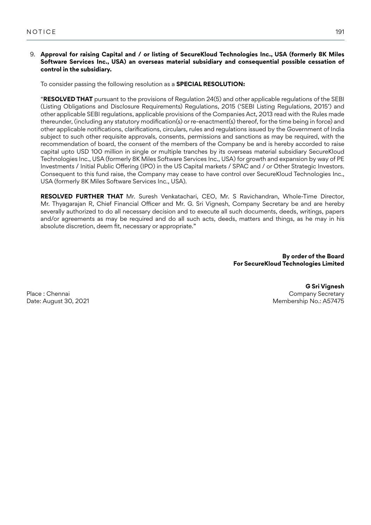## 9. **Approval for raising Capital and / or listing of SecureKloud Technologies Inc., USA (formerly 8K Miles Software Services Inc., USA) an overseas material subsidiary and consequential possible cessation of control in the subsidiary.**

To consider passing the following resolution as a **SPECIAL RESOLUTION:**

"**RESOLVED THAT** pursuant to the provisions of Regulation 24(5) and other applicable regulations of the SEBI (Listing Obligations and Disclosure Requirements) Regulations, 2015 ('SEBI Listing Regulations, 2015') and other applicable SEBI regulations, applicable provisions of the Companies Act, 2013 read with the Rules made thereunder, (including any statutory modification(s) or re-enactment(s) thereof, for the time being in force) and other applicable notifications, clarifications, circulars, rules and regulations issued by the Government of India subject to such other requisite approvals, consents, permissions and sanctions as may be required, with the recommendation of board, the consent of the members of the Company be and is hereby accorded to raise capital upto USD 100 million in single or multiple tranches by its overseas material subsidiary SecureKloud Technologies Inc., USA (formerly 8K Miles Software Services Inc., USA) for growth and expansion by way of PE Investments / Initial Public Offering (IPO) in the US Capital markets / SPAC and / or Other Strategic Investors. Consequent to this fund raise, the Company may cease to have control over SecureKloud Technologies Inc., USA (formerly 8K Miles Software Services Inc., USA).

**RESOLVED FURTHER THAT** Mr. Suresh Venkatachari, CEO, Mr. S Ravichandran, Whole-Time Director, Mr. Thyagarajan R, Chief Financial Officer and Mr. G. Sri Vignesh, Company Secretary be and are hereby severally authorized to do all necessary decision and to execute all such documents, deeds, writings, papers and/or agreements as may be required and do all such acts, deeds, matters and things, as he may in his absolute discretion, deem fit, necessary or appropriate."

> **By order of the Board For SecureKloud Technologies Limited**

Place : Chennai Date: August 30, 2021

**G Sri Vignesh** Company Secretary Membership No.: A57475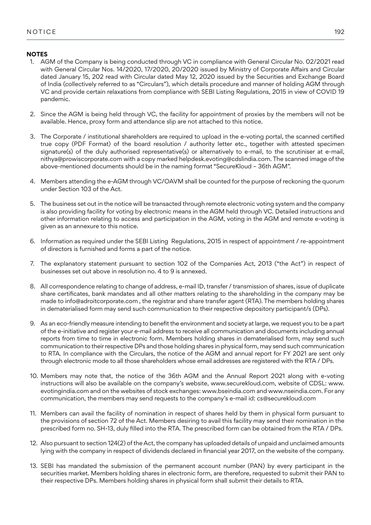# **NOTES**

- 1. AGM of the Company is being conducted through VC in compliance with General Circular No. 02/2021 read with General Circular Nos. 14/2020, 17/2020, 20/2020 issued by Ministry of Corporate Affairs and Circular dated January 15, 202 read with Circular dated May 12, 2020 issued by the Securities and Exchange Board of India (collectively referred to as "Circulars"), which details procedure and manner of holding AGM through VC and provide certain relaxations from compliance with SEBI Listing Regulations, 2015 in view of COVID 19 pandemic.
- 2. Since the AGM is being held through VC, the facility for appointment of proxies by the members will not be available. Hence, proxy form and attendance slip are not attached to this notice.
- 3. The Corporate / institutional shareholders are required to upload in the e-voting portal, the scanned certified true copy (PDF Format) of the board resolution / authority letter etc., together with attested specimen signature(s) of the duly authorised representative(s) or alternatively to e-mail, to the scrutiniser at e-mail, nithya@prowiscorporate.com with a copy marked helpdesk.evoting@cdslindia.com. The scanned image of the above-mentioned documents should be in the naming format "SecureKloud – 36th AGM".
- 4. Members attending the e-AGM through VC/OAVM shall be counted for the purpose of reckoning the quorum under Section 103 of the Act.
- 5. The business set out in the notice will be transacted through remote electronic voting system and the company is also providing facility for voting by electronic means in the AGM held through VC. Detailed instructions and other information relating to access and participation in the AGM, voting in the AGM and remote e-voting is given as an annexure to this notice.
- 6. Information as required under the SEBI Listing Regulations, 2015 in respect of appointment / re-appointment of directors is furnished and forms a part of the notice.
- 7. The explanatory statement pursuant to section 102 of the Companies Act, 2013 ("the Act") in respect of businesses set out above in resolution no. 4 to 9 is annexed.
- 8. All correspondence relating to change of address, e-mail ID, transfer / transmission of shares, issue of duplicate share certificates, bank mandates and all other matters relating to the shareholding in the company may be made to info@adroitcorporate.com , the registrar and share transfer agent (RTA). The members holding shares in dematerialised form may send such communication to their respective depository participant/s (DPs).
- 9. As an eco-friendly measure intending to benefit the environment and society at large, we request you to be a part of the e-initiative and register your e-mail address to receive all communication and documents including annual reports from time to time in electronic form. Members holding shares in dematerialised form, may send such communication to their respective DPs and those holding shares in physical form, may send such communication to RTA. In compliance with the Circulars, the notice of the AGM and annual report for FY 2021 are sent only through electronic mode to all those shareholders whose email addresses are registered with the RTA / DPs.
- 10. Members may note that, the notice of the 36th AGM and the Annual Report 2021 along with e-voting instructions will also be available on the company's website, www.securekloud.com, website of CDSL: www. evotingindia.com and on the websites of stock exchanges: www.bseindia.com and www.nseindia.com. For any communication, the members may send requests to the company's e-mail id: cs@securekloud.com
- 11. Members can avail the facility of nomination in respect of shares held by them in physical form pursuant to the provisions of section 72 of the Act. Members desiring to avail this facility may send their nomination in the prescribed form no. SH-13, duly filled into the RTA. The prescribed form can be obtained from the RTA / DPs.
- 12. Also pursuant to section 124(2) of the Act, the company has uploaded details of unpaid and unclaimed amounts lying with the company in respect of dividends declared in financial year 2017, on the website of the company.
- 13. SEBI has mandated the submission of the permanent account number (PAN) by every participant in the securities market. Members holding shares in electronic form, are therefore, requested to submit their PAN to their respective DPs. Members holding shares in physical form shall submit their details to RTA.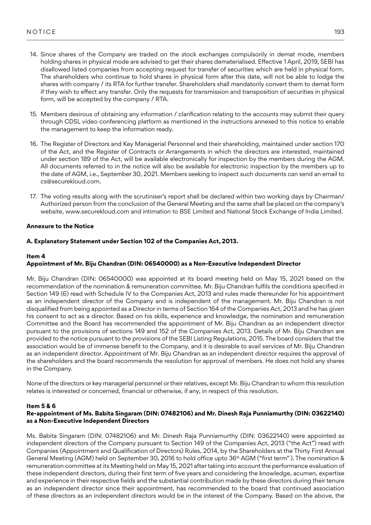- 14. Since shares of the Company are traded on the stock exchanges compulsorily in demat mode, members holding shares in physical mode are advised to get their shares dematerialised. Effective 1 April, 2019, SEBI has disallowed listed companies from accepting request for transfer of securities which are held in physical form. The shareholders who continue to hold shares in physical form after this date, will not be able to lodge the shares with company / its RTA for further transfer. Shareholders shall mandatorily convert them to demat form if they wish to effect any transfer. Only the requests for transmission and transposition of securities in physical form, will be accepted by the company / RTA.
- 15. Members desirous of obtaining any information / clarification relating to the accounts may submit their query through CDSL video conferencing platform as mentioned in the instructions annexed to this notice to enable the management to keep the information ready.
- 16. The Register of Directors and Key Managerial Personnel and their shareholding, maintained under section 170 of the Act, and the Register of Contracts or Arrangements in which the directors are interested, maintained under section 189 of the Act, will be available electronically for inspection by the members during the AGM. All documents referred to in the notice will also be available for electronic inspection by the members up to the date of AGM, i.e., September 30, 2021. Members seeking to inspect such documents can send an email to cs@securekloud.com.
- 17. The voting results along with the scrutiniser's report shall be declared within two working days by Chairman/ Authorized person from the conclusion of the General Meeting and the same shall be placed on the company's website, www.securekloud.com and intimation to BSE Limited and National Stock Exchange of India Limited.

# **Annexure to the Notice**

# **A. Explanatory Statement under Section 102 of the Companies Act, 2013.**

# **Item 4**

# **Appointment of Mr. Biju Chandran (DIN: 06540000) as a Non-Executive Independent Director**

Mr. Biju Chandran (DIN: 06540000) was appointed at its board meeting held on May 15, 2021 based on the recommendation of the nomination & remuneration committee. Mr. Biju Chandran fulfils the conditions specified in Section 149 (6) read with Schedule IV to the Companies Act, 2013 and rules made thereunder for his appointment as an independent director of the Company and is independent of the management. Mr. Biju Chandran is not disqualified from being appointed as a Director in terms of Section 164 of the Companies Act, 2013 and he has given his consent to act as a director. Based on his skills, experience and knowledge, the nomination and remuneration Committee and the Board has recommended the appointment of Mr. Biju Chandran as an independent director pursuant to the provisions of sections 149 and 152 of the Companies Act, 2013. Details of Mr. Biju Chandran are provided to the notice pursuant to the provisions of the SEBI Listing Regulations, 2015. The board considers that the association would be of immense benefit to the Company, and it is desirable to avail services of Mr. Biju Chandran as an independent director. Appointment of Mr. Biju Chandran as an independent director requires the approval of the shareholders and the board recommends the resolution for approval of members. He does not hold any shares in the Company.

None of the directors or key managerial personnel or their relatives, except Mr. Biju Chandran to whom this resolution relates is interested or concerned, financial or otherwise, if any, in respect of this resolution.

# **Item 5 & 6**

# **Re-appointment of Ms. Babita Singaram (DIN: 07482106) and Mr. Dinesh Raja Punniamurthy (DIN: 03622140) as a Non-Executive Independent Directors**

Ms. Babita Singaram (DIN: 07482106) and Mr. Dinesh Raja Punniamurthy (DIN: 03622140) were appointed as independent directors of the Company pursuant to Section 149 of the Companies Act, 2013 ("the Act") read with Companies (Appointment and Qualification of Directors) Rules, 2014, by the Shareholders at the Thirty First Annual General Meeting (AGM) held on September 30, 2016 to hold office upto 36th AGM ("first term" ). The nomination & remuneration committee at its Meeting held on May 15, 2021 after taking into account the performance evaluation of these independent directors, during their first term of five years and considering the knowledge, acumen, expertise and experience in their respective fields and the substantial contribution made by these directors during their tenure as an independent director since their appointment, has recommended to the board that continued association of these directors as an independent directors would be in the interest of the Company. Based on the above, the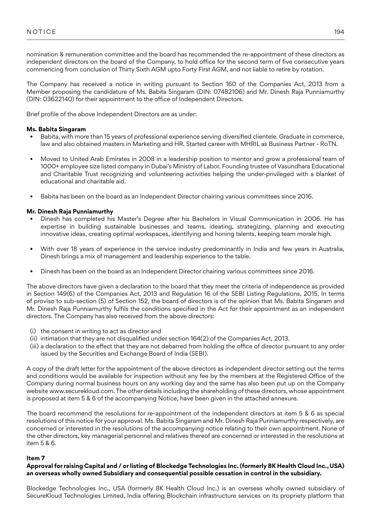nomination & remuneration committee and the board has recommended the re-appointment of these directors as independent directors on the board of the Company, to hold office for the second term of five consecutive years commencing from conclusion of Thirty Sixth AGM upto Forty First AGM, and not liable to retire by rotation.

The Company has received a notice in writing pursuant to Section 160 of the Companies Act, 2013 from a Member proposing the candidature of Ms. Babita Singaram (DIN: 07482106) and Mr. Dinesh Raja Punniamurthy (DIN: 03622140) for their appointment to the office of Independent Directors.

Brief profile of the above Independent Directors are as under:

## **Ms. Babita Singaram**

- Babita, with more than 15 years of professional experience serving diversified clientele. Graduate in commerce, law and also obtained masters in Marketing and HR. Started career with MHRIL as Business Partner - RoTN.
- Moved to United Arab Emirates in 2008 in a leadership position to mentor and grow a professional team of 1000+ employee size listed company in Dubai's Ministry of Labor. Founding trustee of Vasundhara Educational and Charitable Trust recognizing and volunteering activities helping the under-privileged with a blanket of educational and charitable aid.
- Babita has been on the board as an Independent Director chairing various committees since 2016.

## **Mr. Dinesh Raja Punniamurthy**

- Dinesh has completed his Master's Degree after his Bachelors in Visual Communication in 2006. He has expertise in building sustainable businesses and teams, ideating, strategizing, planning and executing innovative ideas, creating optimal workspaces, identifying and honing talents, keeping team morale high.
- With over 18 years of experience in the service industry predominantly in India and few years in Australia, Dinesh brings a mix of management and leadership experience to the table.
- Dinesh has been on the board as an Independent Director chairing various committees since 2016.

The above directors have given a declaration to the board that they meet the criteria of independence as provided in Section 149(6) of the Companies Act, 2013 and Regulation 16 of the SEBI Listing Regulations, 2015. In terms of proviso to sub-section (5) of Section 152, the board of directors is of the opinion that Ms. Babita Singaram and Mr. Dinesh Raja Punniamurthy fulfils the conditions specified in the Act for their appointment as an independent directors. The Company has also received from the above directors:

- (i) the consent in writing to act as director and
- (ii) intimation that they are not disqualified under section 164(2) of the Companies Act, 2013.
- (iii) a declaration to the effect that they are not debarred from holding the office of director pursuant to any order issued by the Securities and Exchange Board of India (SEBI).

A copy of the draft letter for the appointment of the above directors as independent director setting out the terms and conditions would be available for inspection without any fee by the members at the Registered Office of the Company during normal business hours on any working day and the same has also been put up on the Company website www.securekloud.com. The other details including the shareholding of these directors, whose appointment is proposed at item 5 & 6 of the accompanying Notice, have been given in the attached annexure.

The board recommend the resolutions for re-appointment of the independent directors at item 5 & 6 as special resolutions of this notice for your approval. Ms. Babita Singaram and Mr. Dinesh Raja Punniamurthy respectively, are concerned or interested in the resolutions of the accompanying notice relating to their own appointment. None of the other directors, key managerial personnel and relatives thereof are concerned or interested in the resolutions at item 5 & 6.

# **Item 7**

# **Approval for raising Capital and / or listing of Blockedge Technologies Inc. (formerly 8K Health Cloud Inc., USA) an overseas wholly owned Subsidiary and consequential possible cessation in control in the subsidiary.**

Blockedge Technologies Inc., USA (formerly 8K Health Cloud Inc.) is an overseas wholly owned subsidiary of SecureKloud Technologies Limited, India offering Blockchain infrastructure services on its propriety platform that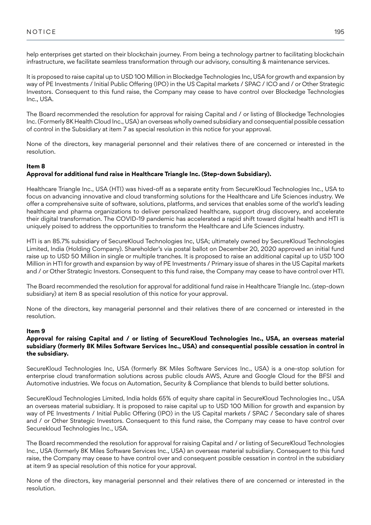help enterprises get started on their blockchain journey. From being a technology partner to facilitating blockchain infrastructure, we facilitate seamless transformation through our advisory, consulting & maintenance services.

It is proposed to raise capital up to USD 100 Million in Blockedge Technologies Inc, USA for growth and expansion by way of PE Investments / Initial Public Offering (IPO) in the US Capital markets / SPAC / ICO and / or Other Strategic Investors. Consequent to this fund raise, the Company may cease to have control over Blockedge Technologies Inc., USA.

The Board recommended the resolution for approval for raising Capital and / or listing of Blockedge Technologies Inc. (Formerly 8K Health Cloud Inc., USA) an overseas wholly owned subsidiary and consequential possible cessation of control in the Subsidiary at item 7 as special resolution in this notice for your approval.

None of the directors, key managerial personnel and their relatives there of are concerned or interested in the resolution.

# **Item 8**

# **Approval for additional fund raise in Healthcare Triangle Inc. (Step-down Subsidiary).**

Healthcare Triangle Inc., USA (HTI) was hived-off as a separate entity from SecureKloud Technologies Inc., USA to focus on advancing innovative and cloud transforming solutions for the Healthcare and Life Sciences industry. We offer a comprehensive suite of software, solutions, platforms, and services that enables some of the world's leading healthcare and pharma organizations to deliver personalized healthcare, support drug discovery, and accelerate their digital transformation. The COVID-19 pandemic has accelerated a rapid shift toward digital health and HTI is uniquely poised to address the opportunities to transform the Healthcare and Life Sciences industry.

HTI is an 85.7% subsidiary of SecureKloud Technologies Inc, USA; ultimately owned by SecureKloud Technologies Limited, India (Holding Company). Shareholder's via postal ballot on December 20, 2020 approved an initial fund raise up to USD 50 Million in single or multiple tranches. It is proposed to raise an additional capital up to USD 100 Million in HTI for growth and expansion by way of PE Investments / Primary issue of shares in the US Capital markets and / or Other Strategic Investors. Consequent to this fund raise, the Company may cease to have control over HTI.

The Board recommended the resolution for approval for additional fund raise in Healthcare Triangle Inc. (step-down subsidiary) at item 8 as special resolution of this notice for your approval.

None of the directors, key managerial personnel and their relatives there of are concerned or interested in the resolution.

# **Item 9**

### **Approval for raising Capital and / or listing of SecureKloud Technologies Inc., USA, an overseas material subsidiary (formerly 8K Miles Software Services Inc., USA) and consequential possible cessation in control in the subsidiary.**

SecureKloud Technologies Inc, USA (formerly 8K Miles Software Services Inc., USA) is a one-stop solution for enterprise cloud transformation solutions across public clouds AWS, Azure and Google Cloud for the BFSI and Automotive industries. We focus on Automation, Security & Compliance that blends to build better solutions.

SecureKloud Technologies Limited, India holds 65% of equity share capital in SecureKloud Technologies Inc., USA an overseas material subsidiary. It is proposed to raise capital up to USD 100 Million for growth and expansion by way of PE Investments / Initial Public Offering (IPO) in the US Capital markets / SPAC / Secondary sale of shares and / or Other Strategic Investors. Consequent to this fund raise, the Company may cease to have control over Securekloud Technologies Inc., USA.

The Board recommended the resolution for approval for raising Capital and / or listing of SecureKloud Technologies Inc., USA (formerly 8K Miles Software Services Inc., USA) an overseas material subsidiary. Consequent to this fund raise, the Company may cease to have control over and consequent possible cessation in control in the subsidiary at item 9 as special resolution of this notice for your approval.

None of the directors, key managerial personnel and their relatives there of are concerned or interested in the resolution.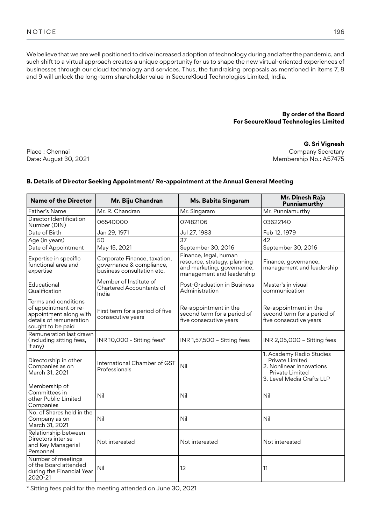We believe that we are well positioned to drive increased adoption of technology during and after the pandemic, and such shift to a virtual approach creates a unique opportunity for us to shape the new virtual-oriented experiences of businesses through our cloud technology and services. Thus, the fundraising proposals as mentioned in items 7, 8 and 9 will unlock the long-term shareholder value in SecureKloud Technologies Limited, India.

# **By order of the Board For SecureKloud Technologies Limited**

Place : Chennai Date: August 30, 2021

**G. Sri Vignesh** Company Secretary Membership No.: A57475

# **B. Details of Director Seeking Appointment/ Re-appointment at the Annual General Meeting**

| <b>Name of the Director</b>                                                                                             | Mr. Biju Chandran                                                                      | Ms. Babita Singaram                                                                                              | Mr. Dinesh Raja<br>Punniamurthy                                                                                         |
|-------------------------------------------------------------------------------------------------------------------------|----------------------------------------------------------------------------------------|------------------------------------------------------------------------------------------------------------------|-------------------------------------------------------------------------------------------------------------------------|
| Father's Name                                                                                                           | Mr. R. Chandran                                                                        | Mr. Singaram                                                                                                     | Mr. Punniamurthy                                                                                                        |
| Director Identification<br>Number (DIN)                                                                                 | 06540000                                                                               | 07482106                                                                                                         | 03622140                                                                                                                |
| Date of Birth                                                                                                           | Jan 29, 1971                                                                           | Jul 27, 1983                                                                                                     | Feb 12, 1979                                                                                                            |
| Age (in years)                                                                                                          | 50                                                                                     | 37                                                                                                               | 42                                                                                                                      |
| Date of Appointment                                                                                                     | May 15, 2021                                                                           | September 30, 2016                                                                                               | September 30, 2016                                                                                                      |
| Expertise in specific<br>functional area and<br>expertise                                                               | Corporate Finance, taxation,<br>governance & compliance,<br>business consultation etc. | Finance, legal, human<br>resource, strategy, planning<br>and marketing, governance,<br>management and leadership | Finance, governance,<br>management and leadership                                                                       |
| Educational<br>Qualification                                                                                            | Member of Institute of<br>Chartered Accountants of<br>India                            | Post-Graduation in Business<br>Administration                                                                    | Master's in visual<br>communication                                                                                     |
| Terms and conditions<br>of appointment or re-<br>appointment along with<br>details of remuneration<br>sought to be paid | First term for a period of five<br>consecutive years                                   | Re-appointment in the<br>second term for a period of<br>five consecutive years                                   | Re-appointment in the<br>second term for a period of<br>five consecutive years                                          |
| Remuneration last drawn<br>(including sitting fees,<br>if any)                                                          | INR 10,000 - Sitting fees*                                                             | INR 1,57,500 - Sitting fees                                                                                      | INR 2,05,000 - Sitting fees                                                                                             |
| Directorship in other<br>Companies as on<br>March 31, 2021                                                              | International Chamber of GST<br>Professionals                                          | Nil                                                                                                              | 1. Academy Radio Studies<br>Private Limited<br>2. Nonlinear Innovations<br>Private Limited<br>3. Level Media Crafts LLP |
| Membership of<br>Committees in<br>other Public Limited<br>Companies                                                     | Nil                                                                                    | Nil                                                                                                              | Nil                                                                                                                     |
| No. of Shares held in the<br>Company as on<br>March 31, 2021                                                            | Nil                                                                                    | Nil                                                                                                              | Nil                                                                                                                     |
| Relationship between<br>Directors inter se<br>and Key Managerial<br>Personnel                                           | Not interested                                                                         | Not interested                                                                                                   | Not interested                                                                                                          |
| Number of meetings<br>of the Board attended<br>during the Financial Year<br>2020-21                                     | Nil                                                                                    | 12                                                                                                               | 11                                                                                                                      |

\* Sitting fees paid for the meeting attended on June 30, 2021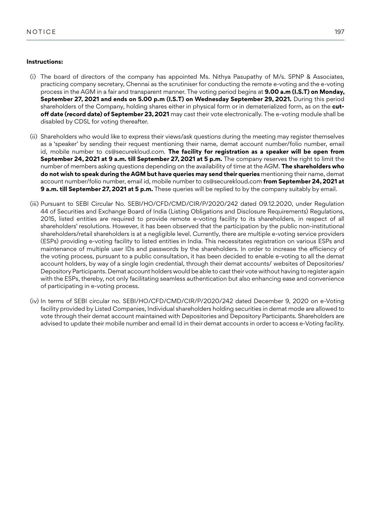## **Instructions:**

- (i) The board of directors of the company has appointed Ms. Nithya Pasupathy of M/s. SPNP & Associates, practicing company secretary, Chennai as the scrutiniser for conducting the remote e-voting and the e-voting process in the AGM in a fair and transparent manner. The voting period begins at **9.00 a.m (I.S.T) on Monday, September 27, 2021 and ends on 5.00 p.m (I.S.T) on Wednesday September 29, 2021.** During this period shareholders of the Company, holding shares either in physical form or in dematerialized form, as on the **cutoff date (record date) of September 23, 2021** may cast their vote electronically. The e-voting module shall be disabled by CDSL for voting thereafter.
- (ii) Shareholders who would like to express their views/ask questions during the meeting may register themselves as a 'speaker' by sending their request mentioning their name, demat account number/folio number, email id, mobile number to cs@securekloud.com. **The facility for registration as a speaker will be open from September 24, 2021 at 9 a.m. till September 27, 2021 at 5 p.m.** The company reserves the right to limit the number of members asking questions depending on the availability of time at the AGM. **The shareholders who do not wish to speak during the AGM but have queries may send their queries** mentioning their name, demat account number/folio number, email id, mobile number to cs@securekloud.com **from September 24, 2021 at 9 a.m. till September 27, 2021 at 5 p.m.** These queries will be replied to by the company suitably by email.
- (iii) Pursuant to SEBI Circular No. SEBI/HO/CFD/CMD/CIR/P/2020/242 dated 09.12.2020, under Regulation 44 of Securities and Exchange Board of India (Listing Obligations and Disclosure Requirements) Regulations, 2015, listed entities are required to provide remote e-voting facility to its shareholders, in respect of all shareholders' resolutions. However, it has been observed that the participation by the public non-institutional shareholders/retail shareholders is at a negligible level. Currently, there are multiple e-voting service providers (ESPs) providing e-voting facility to listed entities in India. This necessitates registration on various ESPs and maintenance of multiple user IDs and passwords by the shareholders. In order to increase the efficiency of the voting process, pursuant to a public consultation, it has been decided to enable e-voting to all the demat account holders, by way of a single login credential, through their demat accounts/ websites of Depositories/ Depository Participants. Demat account holders would be able to cast their vote without having to register again with the ESPs, thereby, not only facilitating seamless authentication but also enhancing ease and convenience of participating in e-voting process.
- (iv) In terms of SEBI circular no. SEBI/HO/CFD/CMD/CIR/P/2020/242 dated December 9, 2020 on e-Voting facility provided by Listed Companies, Individual shareholders holding securities in demat mode are allowed to vote through their demat account maintained with Depositories and Depository Participants. Shareholders are advised to update their mobile number and email Id in their demat accounts in order to access e-Voting facility.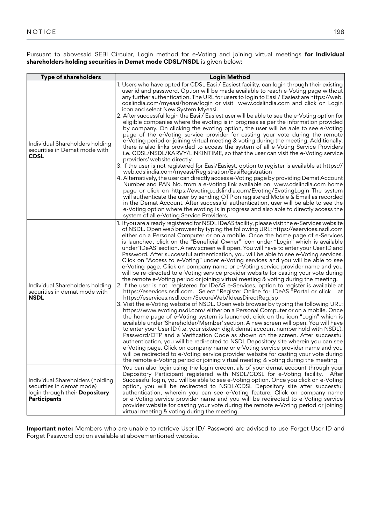Pursuant to abovesaid SEBI Circular, Login method for e-Voting and joining virtual meetings **for Individual shareholders holding securities in Demat mode CDSL/NSDL** is given below:

| <b>Type of shareholders</b>                                                                                                   | <b>Login Method</b>                                                                                                                                                                                                                                                                                                                                                                                                                                                                                                                                                                                                                                                                                                                                                                                                                                                                                                                                                                                                                                                                                                                                                                                                                                                                                                                                                                                                                                                                                                                                                                                                                                                                                                                                                                                                                                                                                                                                                                                                                 |
|-------------------------------------------------------------------------------------------------------------------------------|-------------------------------------------------------------------------------------------------------------------------------------------------------------------------------------------------------------------------------------------------------------------------------------------------------------------------------------------------------------------------------------------------------------------------------------------------------------------------------------------------------------------------------------------------------------------------------------------------------------------------------------------------------------------------------------------------------------------------------------------------------------------------------------------------------------------------------------------------------------------------------------------------------------------------------------------------------------------------------------------------------------------------------------------------------------------------------------------------------------------------------------------------------------------------------------------------------------------------------------------------------------------------------------------------------------------------------------------------------------------------------------------------------------------------------------------------------------------------------------------------------------------------------------------------------------------------------------------------------------------------------------------------------------------------------------------------------------------------------------------------------------------------------------------------------------------------------------------------------------------------------------------------------------------------------------------------------------------------------------------------------------------------------------|
| Individual Shareholders holding<br>securities in Demat mode with<br>CDSL                                                      | 1. Users who have opted for CDSL Easi / Easiest facility, can login through their existing<br>user id and password. Option will be made available to reach e-Voting page without<br>any further authentication. The URL for users to login to Easi / Easiest are https://web.<br>cdslindia.com/myeasi/home/login or visit www.cdslindia.com and click on Login<br>icon and select New System Myeasi.<br>2. After successful login the Easi / Easiest user will be able to see the e-Voting option for<br>eligible companies where the evoting is in progress as per the information provided<br>by company. On clicking the evoting option, the user will be able to see e-Voting<br>page of the e-Voting service provider for casting your vote during the remote<br>e-Voting period or joining virtual meeting & voting during the meeting. Additionally,<br>there is also links provided to access the system of all e-Voting Service Providers<br>i.e. CDSL/NSDL/KARVY/LINKINTIME, so that the user can visit the e-Voting service<br>providers' website directly.<br>3. If the user is not registered for Easi/Easiest, option to register is available at https://<br>web.cdslindia.com/myeasi/Registration/EasiRegistration<br>4. Alternatively, the user can directly access e-Voting page by providing Demat Account<br>Number and PAN No. from a e-Voting link available on www.cdslindia.com home<br>page or click on https://evoting.cdslindia.com/Evoting/EvotingLogin The system<br>will authenticate the user by sending OTP on registered Mobile & Email as recorded<br>in the Demat Account. After successful authentication, user will be able to see the<br>e-Voting option where the evoting is in progress and also able to directly access the<br>system of all e-Voting Service Providers.                                                                                                                                                                                                                   |
| Individual Shareholders holding<br>securities in demat mode with<br><b>NSDL</b>                                               | 1. If you are already registered for NSDLIDeAS facility, please visit the e-Services website<br>of NSDL. Open web browser by typing the following URL: https://eservices.nsdl.com<br>either on a Personal Computer or on a mobile. Once the home page of e-Services<br>is launched, click on the "Beneficial Owner" icon under "Login" which is available<br>under 'IDeAS' section. A new screen will open. You will have to enter your User ID and<br>Password. After successful authentication, you will be able to see e-Voting services.<br>Click on "Access to e-Voting" under e-Voting services and you will be able to see<br>e-Voting page. Click on company name or e-Voting service provider name and you<br>will be re-directed to e-Voting service provider website for casting your vote during<br>the remote e-Voting period or joining virtual meeting & voting during the meeting.<br>2. If the user is not registered for IDeAS e-Services, option to register is available at<br>https://eservices.nsdl.com. Select "Register Online for IDeAS "Portal or click at<br>https://eservices.nsdl.com/SecureWeb/IdeasDirectReg.jsp<br>3. Visit the e-Voting website of NSDL. Open web browser by typing the following URL:<br>https://www.evoting.nsdl.com/either on a Personal Computer or on a mobile. Once<br>the home page of e-Voting system is launched, click on the icon "Login" which is<br>available under 'Shareholder/Member' section. A new screen will open. You will have<br>to enter your User ID (i.e. your sixteen digit demat account number hold with NSDL),<br>Password/OTP and a Verification Code as shown on the screen. After successful<br>authentication, you will be redirected to NSDL Depository site wherein you can see<br>e-Voting page. Click on company name or e-Voting service provider name and you<br>will be redirected to e-Voting service provider website for casting your vote during<br>the remote e-Voting period or joining virtual meeting & voting during the meeting |
| Individual Shareholders (holding<br>securities in demat mode)<br>login through their <b>Depository</b><br><b>Participants</b> | You can also login using the login credentials of your demat account through your<br>Depository Participant registered with NSDL/CDSL for e-Voting facility. After<br>Successful login, you will be able to see e-Voting option. Once you click on e-Voting<br>option, you will be redirected to NSDL/CDSL Depository site after successful<br>authentication, wherein you can see e-Voting feature. Click on company name<br>or e-Voting service provider name and you will be redirected to e-Voting service<br>provider website for casting your vote during the remote e-Voting period or joining<br>virtual meeting & voting during the meeting.                                                                                                                                                                                                                                                                                                                                                                                                                                                                                                                                                                                                                                                                                                                                                                                                                                                                                                                                                                                                                                                                                                                                                                                                                                                                                                                                                                               |

**Important note:** Members who are unable to retrieve User ID/ Password are advised to use Forget User ID and Forget Password option available at abovementioned website.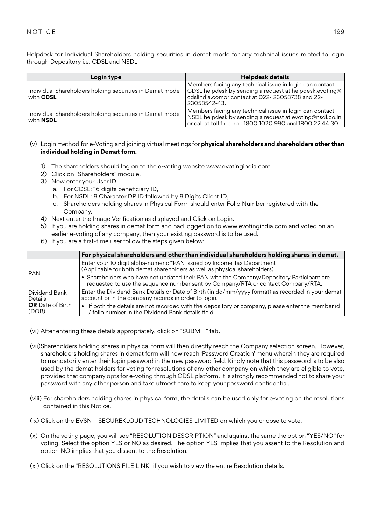Helpdesk for Individual Shareholders holding securities in demat mode for any technical issues related to login through Depository i.e. CDSL and NSDL

| Login type                                                                   | <b>Helpdesk details</b>                                                                                                                                                                             |
|------------------------------------------------------------------------------|-----------------------------------------------------------------------------------------------------------------------------------------------------------------------------------------------------|
| Individual Shareholders holding securities in Demat mode<br>with <b>CDSL</b> | Members facing any technical issue in login can contact<br>$\mid$ CDSL helpdesk by sending a request at helpdesk.evoting@ $\mid$<br>cdslindia.comor contact at 022-23058738 and 22-<br>23058542-43. |
| Individual Shareholders holding securities in Demat mode<br>with <b>NSDL</b> | Members facing any technical issue in login can contact<br>$\mid$ NSDL helpdesk by sending a request at evoting@nsdl.co.in $\mid$<br>or call at toll free no.: 1800 1020 990 and 1800 22 44 30      |

# (v) Login method for e-Voting and joining virtual meetings for **physical shareholders and shareholders other than individual holding in Demat form.**

- 1) The shareholders should log on to the e-voting website www.evotingindia.com.
- 2) Click on "Shareholders" module.
- 3) Now enter your User ID
	- a. For CDSL: 16 digits beneficiary ID,
	- b. For NSDL: 8 Character DP ID followed by 8 Digits Client ID,
	- c. Shareholders holding shares in Physical Form should enter Folio Number registered with the Company.
- 4) Next enter the Image Verification as displayed and Click on Login.
- 5) If you are holding shares in demat form and had logged on to www.evotingindia.com and voted on an earlier e-voting of any company, then your existing password is to be used.
- 6) If you are a first-time user follow the steps given below:

|                                  | $\sf F$ or physical shareholders and other than individual shareholders holding shares in demat.                                                                              |
|----------------------------------|-------------------------------------------------------------------------------------------------------------------------------------------------------------------------------|
|                                  |                                                                                                                                                                               |
| PAN                              | Enter your 10 digit alpha-numeric *PAN issued by Income Tax Department<br>  (Applicable for both demat shareholders as well as physical shareholders)                         |
|                                  | • Shareholders who have not updated their PAN with the Company/Depository Participant are<br>requested to use the sequence number sent by Company/RTA or contact Company/RTA. |
| Dividend Bank<br>Details         | Enter the Dividend Bank Details or Date of Birth (in dd/mm/yyyy format) as recorded in your demat<br>account or in the company records in order to login.                     |
| <b>OR</b> Date of Birth<br>(DOB) | • If both the details are not recorded with the depository or company, please enter the member id<br>/ folio number in the Dividend Bank details field.                       |

- (vi) After entering these details appropriately, click on "SUBMIT" tab.
- (vii)Shareholders holding shares in physical form will then directly reach the Company selection screen. However, shareholders holding shares in demat form will now reach 'Password Creation' menu wherein they are required to mandatorily enter their login password in the new password field. Kindly note that this password is to be also used by the demat holders for voting for resolutions of any other company on which they are eligible to vote, provided that company opts for e-voting through CDSL platform. It is strongly recommended not to share your password with any other person and take utmost care to keep your password confidential.
- (viii) For shareholders holding shares in physical form, the details can be used only for e-voting on the resolutions contained in this Notice.
- (ix) Click on the EVSN SECUREKLOUD TECHNOLOGIES LIMITED on which you choose to vote.
- (x) On the voting page, you will see "RESOLUTION DESCRIPTION" and against the same the option "YES/NO" for voting. Select the option YES or NO as desired. The option YES implies that you assent to the Resolution and option NO implies that you dissent to the Resolution.
- (xi) Click on the "RESOLUTIONS FILE LINK" if you wish to view the entire Resolution details.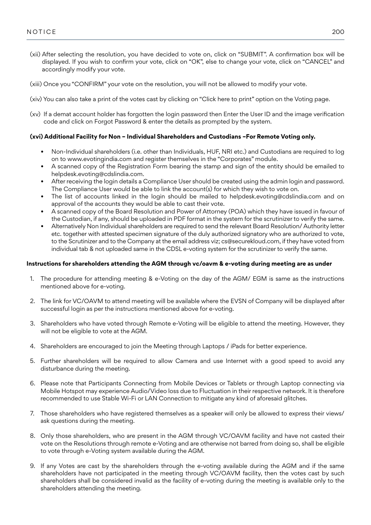- (xii) After selecting the resolution, you have decided to vote on, click on "SUBMIT". A confirmation box will be displayed. If you wish to confirm your vote, click on "OK", else to change your vote, click on "CANCEL" and accordingly modify your vote.
- (xiii) Once you "CONFIRM" your vote on the resolution, you will not be allowed to modify your vote.
- (xiv) You can also take a print of the votes cast by clicking on "Click here to print" option on the Voting page.
- (xv) If a demat account holder has forgotten the login password then Enter the User ID and the image verification code and click on Forgot Password & enter the details as prompted by the system.

# **(xvi) Additional Facility for Non – Individual Shareholders and Custodians –For Remote Voting only.**

- Non-Individual shareholders (i.e. other than Individuals, HUF, NRI etc.) and Custodians are required to log on to www.evotingindia.com and register themselves in the "Corporates" module.
- A scanned copy of the Registration Form bearing the stamp and sign of the entity should be emailed to helpdesk.evoting@cdslindia.com.
- After receiving the login details a Compliance User should be created using the admin login and password. The Compliance User would be able to link the account(s) for which they wish to vote on.
- The list of accounts linked in the login should be mailed to helpdesk.evoting@cdslindia.com and on approval of the accounts they would be able to cast their vote.
- A scanned copy of the Board Resolution and Power of Attorney (POA) which they have issued in favour of the Custodian, if any, should be uploaded in PDF format in the system for the scrutinizer to verify the same.
- Alternatively Non Individual shareholders are required to send the relevant Board Resolution/ Authority letter etc. together with attested specimen signature of the duly authorized signatory who are authorized to vote, to the Scrutinizer and to the Company at the email address viz; cs@securekloud.com, if they have voted from individual tab & not uploaded same in the CDSL e-voting system for the scrutinizer to verify the same.

## **Instructions for shareholders attending the AGM through vc/oavm & e-voting during meeting are as under**

- 1. The procedure for attending meeting & e-Voting on the day of the AGM/ EGM is same as the instructions mentioned above for e-voting.
- 2. The link for VC/OAVM to attend meeting will be available where the EVSN of Company will be displayed after successful login as per the instructions mentioned above for e-voting.
- 3. Shareholders who have voted through Remote e-Voting will be eligible to attend the meeting. However, they will not be eligible to vote at the AGM.
- 4. Shareholders are encouraged to join the Meeting through Laptops / iPads for better experience.
- 5. Further shareholders will be required to allow Camera and use Internet with a good speed to avoid any disturbance during the meeting.
- 6. Please note that Participants Connecting from Mobile Devices or Tablets or through Laptop connecting via Mobile Hotspot may experience Audio/Video loss due to Fluctuation in their respective network. It is therefore recommended to use Stable Wi-Fi or LAN Connection to mitigate any kind of aforesaid glitches.
- 7. Those shareholders who have registered themselves as a speaker will only be allowed to express their views/ ask questions during the meeting.
- 8. Only those shareholders, who are present in the AGM through VC/OAVM facility and have not casted their vote on the Resolutions through remote e-Voting and are otherwise not barred from doing so, shall be eligible to vote through e-Voting system available during the AGM.
- 9. If any Votes are cast by the shareholders through the e-voting available during the AGM and if the same shareholders have not participated in the meeting through VC/OAVM facility, then the votes cast by such shareholders shall be considered invalid as the facility of e-voting during the meeting is available only to the shareholders attending the meeting.